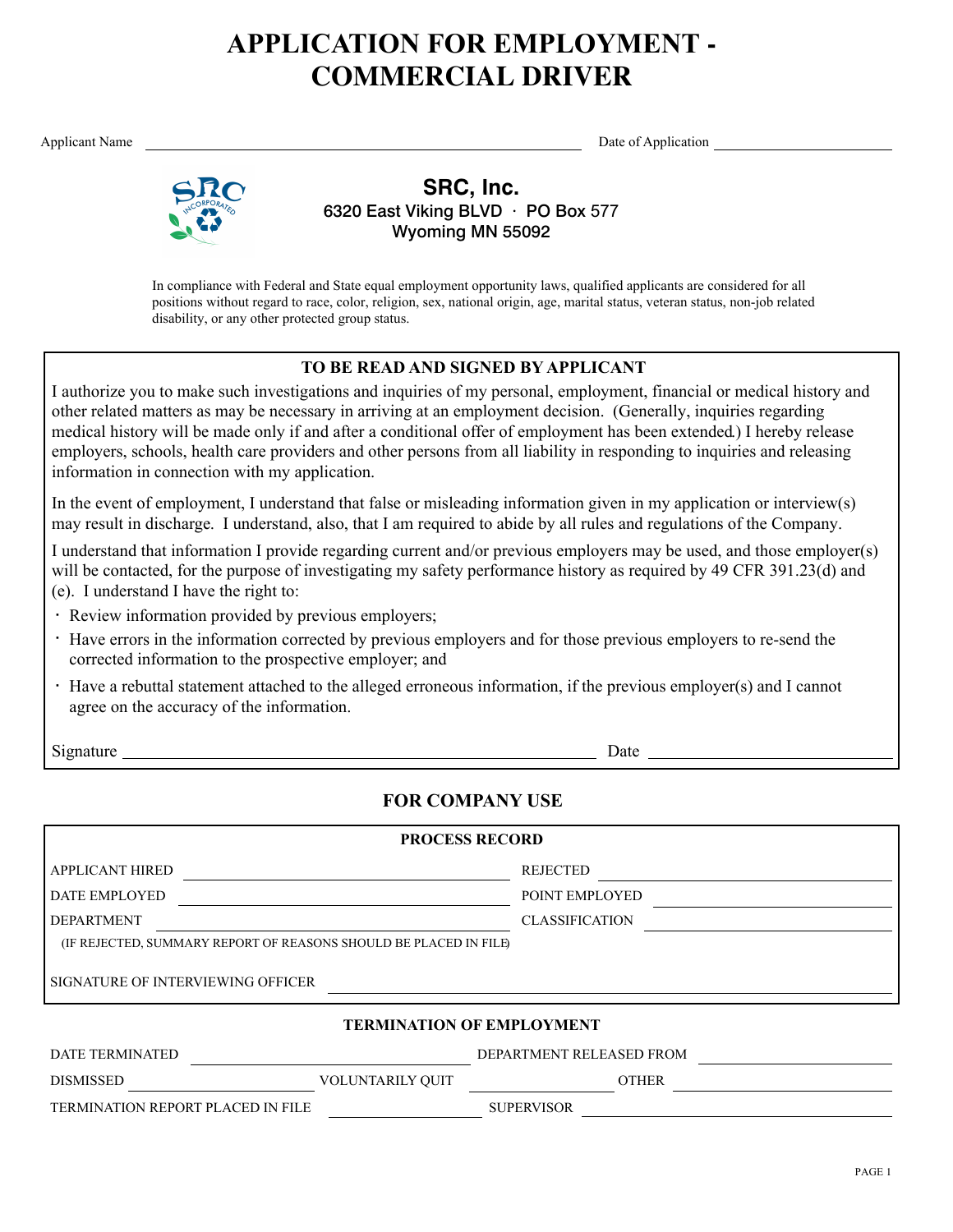# **APPLICATION FOR EMPLOYMENT - COMMERCIAL DRIVER**

Applicant Name Date of Application



**SRC, Inc.** 6320 East Viking BLVD · PO Box 577 Wyoming MN 55092

In compliance with Federal and State equal employment opportunity laws, qualified applicants are considered for all positions without regard to race, color, religion, sex, national origin, age, marital status, veteran status, non-job related disability, or any other protected group status.

## **TO BE READ AND SIGNED BY APPLICANT**

I authorize you to make such investigations and inquiries of my personal, employment, financial or medical history and other related matters as may be necessary in arriving at an employment decision. (Generally, inquiries regarding medical history will be made only if and after a conditional offer of employment has been extended.) I hereby release employers, schools, health care providers and other persons from all liability in responding to inquiries and releasing information in connection with my application.

In the event of employment, I understand that false or misleading information given in my application or interview(s) may result in discharge. I understand, also, that I am required to abide by all rules and regulations of the Company.

I understand that information I provide regarding current and/or previous employers may be used, and those employer(s) will be contacted, for the purpose of investigating my safety performance history as required by 49 CFR 391.23(d) and (e). I understand I have the right to:

- Review information provided by previous employers; **·**
- Have errors in the information corrected by previous employers and for those previous employers to re-send the **·** corrected information to the prospective employer; and
- Have a rebuttal statement attached to the alleged erroneous information, if the previous employer(s) and I cannot **·**agree on the accuracy of the information.

Signature Date

# **FOR COMPANY USE**

| <b>PROCESS RECORD</b>                                             |                              |
|-------------------------------------------------------------------|------------------------------|
| l applicant hired                                                 | <b>REJECTED</b>              |
| l date employed                                                   | POINT EMPLOYED               |
| <b>DEPARTMENT</b>                                                 | <b>CLASSIFICATION</b>        |
| (IF REJECTED, SUMMARY REPORT OF REASONS SHOULD BE PLACED IN FILE) |                              |
| SIGNATURE OF INTERVIEWING OFFICER                                 |                              |
| <b>TERMINATION OF EMPLOYMENT</b>                                  |                              |
| <b>DATE TEDMINATED</b>                                            | DEDA DTMENT DEL E A CED EDOM |

| DAIL ILNMINAILD                   |                         | DETAINTMENT RELEASED FROM |              |  |
|-----------------------------------|-------------------------|---------------------------|--------------|--|
| <b>DISMISSED</b>                  | <b>VOLUNTARILY OUIT</b> |                           | <b>)THER</b> |  |
| TERMINATION REPORT PLACED IN FILE |                         | <b>SUPERVISOR</b>         |              |  |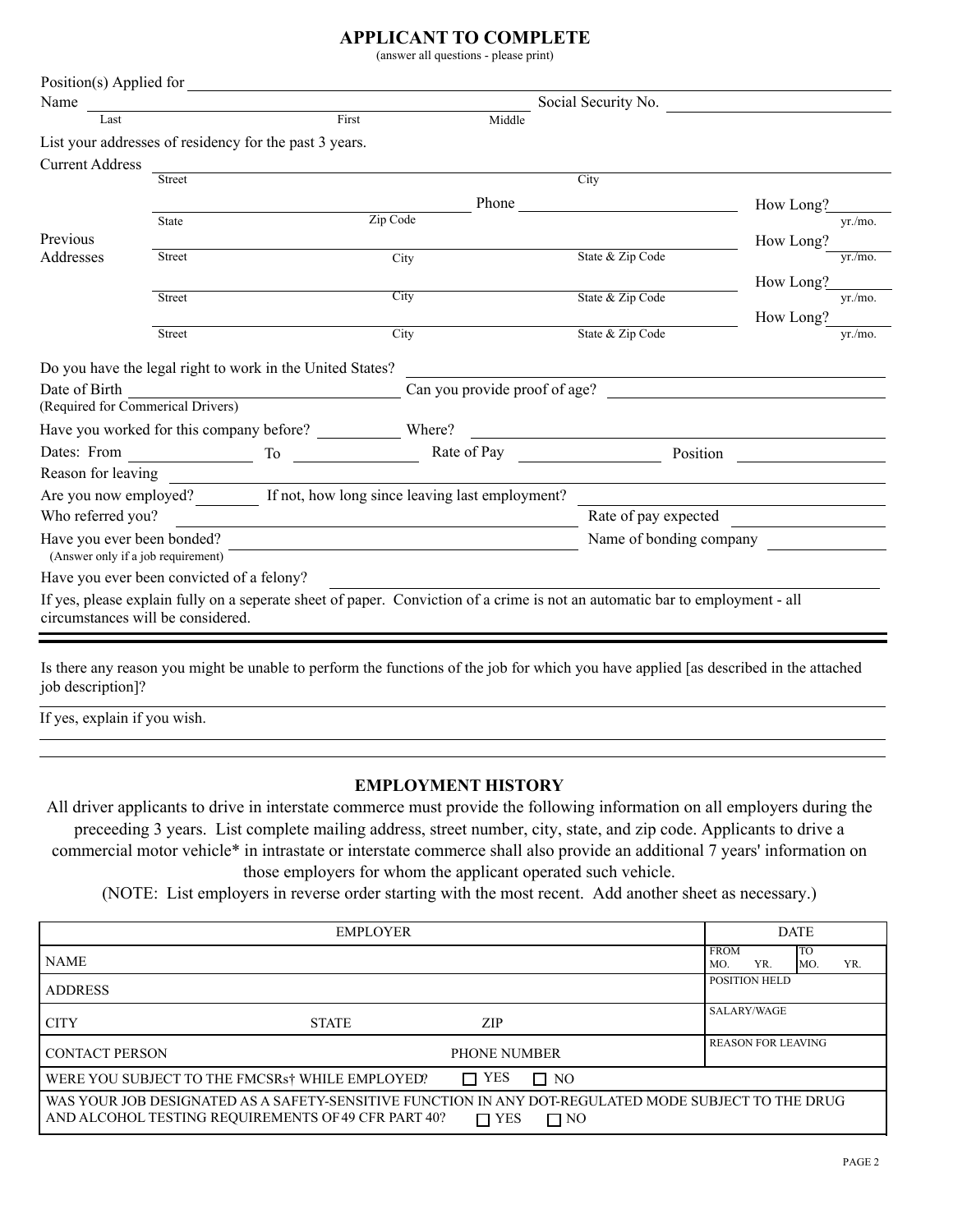### **APPLICANT TO COMPLETE**

(answer all questions - please print)

|                                                                  | Position(s) Applied for                                   |          |                                                                       |                                                                                                                                                  |                     |
|------------------------------------------------------------------|-----------------------------------------------------------|----------|-----------------------------------------------------------------------|--------------------------------------------------------------------------------------------------------------------------------------------------|---------------------|
| Name                                                             |                                                           |          |                                                                       | Social Security No.                                                                                                                              |                     |
| Last                                                             |                                                           | First    | Middle                                                                |                                                                                                                                                  |                     |
|                                                                  | List your addresses of residency for the past 3 years.    |          |                                                                       |                                                                                                                                                  |                     |
| <b>Current Address</b>                                           |                                                           |          |                                                                       |                                                                                                                                                  |                     |
|                                                                  | Street                                                    |          |                                                                       | City                                                                                                                                             |                     |
|                                                                  |                                                           |          | Phone                                                                 |                                                                                                                                                  | How Long?           |
|                                                                  | State                                                     | Zip Code |                                                                       |                                                                                                                                                  | vr./mo.             |
| Previous                                                         |                                                           |          |                                                                       |                                                                                                                                                  | How Long?           |
| Addresses                                                        | Street                                                    |          | City                                                                  | State & Zip Code                                                                                                                                 | yr/mo.              |
|                                                                  |                                                           |          |                                                                       |                                                                                                                                                  | How Long?           |
|                                                                  | Street                                                    |          | <b>City</b>                                                           | State & Zip Code                                                                                                                                 | yr./mo.             |
|                                                                  |                                                           |          |                                                                       |                                                                                                                                                  | How Long?<br>yr/mo. |
|                                                                  | Street                                                    |          | City                                                                  | State & Zip Code                                                                                                                                 |                     |
|                                                                  | Do you have the legal right to work in the United States? |          |                                                                       |                                                                                                                                                  |                     |
| Date of Birth                                                    |                                                           |          |                                                                       | Can you provide proof of age?                                                                                                                    |                     |
| (Required for Commerical Drivers)                                |                                                           |          |                                                                       |                                                                                                                                                  |                     |
|                                                                  |                                                           |          |                                                                       |                                                                                                                                                  |                     |
| Dates: From                                                      | $\overline{\phantom{a}}$ To $\overline{\phantom{a}}$      |          |                                                                       | <u> 1989 - Andrea State Barbara, amerikan personal di sebagai personal di sebagai personal di sebagai personal di</u><br>Rate of Pay<br>Position |                     |
| Reason for leaving                                               |                                                           |          |                                                                       |                                                                                                                                                  |                     |
|                                                                  |                                                           |          | Are you now employed? If not, how long since leaving last employment? |                                                                                                                                                  |                     |
|                                                                  |                                                           |          |                                                                       |                                                                                                                                                  |                     |
| Who referred you?                                                |                                                           |          |                                                                       | Rate of pay expected                                                                                                                             |                     |
| Have you ever been bonded?<br>(Answer only if a job requirement) |                                                           |          | <u> 1980 - Andrea Stadt, amerikansk politiker (d. 1980)</u>           | Name of bonding company                                                                                                                          |                     |
|                                                                  | Have you ever been convicted of a felony?                 |          |                                                                       |                                                                                                                                                  |                     |
|                                                                  |                                                           |          |                                                                       | If yes, please explain fully on a seperate sheet of paper. Conviction of a crime is not an automatic bar to employment - all                     |                     |

Is there any reason you might be unable to perform the functions of the job for which you have applied [as described in the attached job description]?

If yes, explain if you wish.

#### **EMPLOYMENT HISTORY**

All driver applicants to drive in interstate commerce must provide the following information on all employers during the preceeding 3 years. List complete mailing address, street number, city, state, and zip code. Applicants to drive a commercial motor vehicle\* in intrastate or interstate commerce shall also provide an additional 7 years' information on those employers for whom the applicant operated such vehicle.

(NOTE: List employers in reverse order starting with the most recent. Add another sheet as necessary.)

|                                                             | <b>EMPLOYER</b> |                                                                                                                                 | <b>DATE</b>                                   |
|-------------------------------------------------------------|-----------------|---------------------------------------------------------------------------------------------------------------------------------|-----------------------------------------------|
| <b>NAME</b>                                                 |                 |                                                                                                                                 | <b>FROM</b><br>TО<br>YR.<br>YR.<br>MO.<br>MO. |
| <b>ADDRESS</b>                                              |                 |                                                                                                                                 | <b>POSITION HELD</b>                          |
| <b>CITY</b>                                                 | <b>STATE</b>    | ZIP                                                                                                                             | SALARY/WAGE                                   |
| <b>CONTACT PERSON</b>                                       |                 | <b>PHONE NUMBER</b>                                                                                                             | <b>REASON FOR LEAVING</b>                     |
| WERE YOU SUBJECT TO THE FMCSRs <sup>†</sup> WHILE EMPLOYED? |                 | $\Box$ YES<br>$\Box$ NO                                                                                                         |                                               |
| AND ALCOHOL TESTING REQUIREMENTS OF 49 CFR PART 40?         |                 | WAS YOUR JOB DESIGNATED AS A SAFETY-SENSITIVE FUNCTION IN ANY DOT-REGULATED MODE SUBJECT TO THE DRUG<br>$\Box$ YES<br>$\Box$ NO |                                               |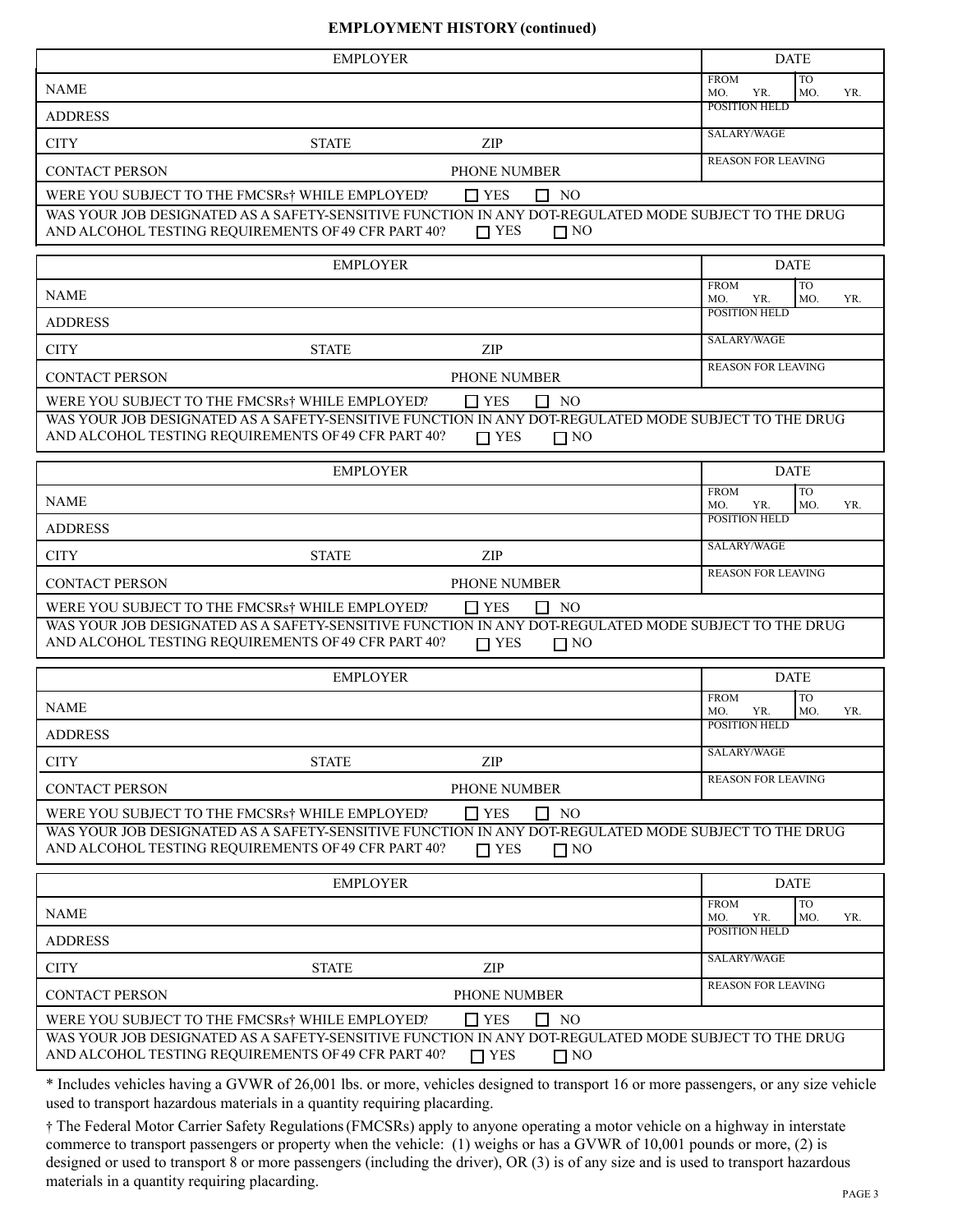#### **EMPLOYMENT HISTORY (continued)**

|                                                        | <b>EMPLOYER</b>                                                                                                    |                                                    | <b>DATE</b>                                                                                          |
|--------------------------------------------------------|--------------------------------------------------------------------------------------------------------------------|----------------------------------------------------|------------------------------------------------------------------------------------------------------|
| <b>NAME</b>                                            |                                                                                                                    |                                                    | <b>FROM</b><br><b>TO</b><br>YR.<br>MO.<br>YR.<br>MO.                                                 |
| <b>ADDRESS</b>                                         |                                                                                                                    |                                                    | <b>POSITION HELD</b>                                                                                 |
| <b>CITY</b>                                            | <b>STATE</b>                                                                                                       | ZIP                                                | SALARY/WAGE                                                                                          |
| <b>CONTACT PERSON</b>                                  |                                                                                                                    | PHONE NUMBER                                       | <b>REASON FOR LEAVING</b>                                                                            |
|                                                        | WERE YOU SUBJECT TO THE FMCSRs <sup>†</sup> WHILE EMPLOYED?                                                        | $\Box$ YES<br>$\Box$ NO                            |                                                                                                      |
|                                                        | AND ALCOHOL TESTING REQUIREMENTS OF 49 CFR PART 40?                                                                | $\Box$ YES<br>$\Box$ NO                            | WAS YOUR JOB DESIGNATED AS A SAFETY-SENSITIVE FUNCTION IN ANY DOT-REGULATED MODE SUBJECT TO THE DRUG |
|                                                        | <b>EMPLOYER</b>                                                                                                    |                                                    | <b>DATE</b>                                                                                          |
| <b>NAME</b>                                            |                                                                                                                    |                                                    | <b>FROM</b><br><b>TO</b><br>YR.<br>MO.<br>YR.<br>MO.                                                 |
| <b>ADDRESS</b>                                         |                                                                                                                    |                                                    | POSITION HELD                                                                                        |
| <b>CITY</b>                                            | <b>STATE</b>                                                                                                       | ZIP                                                | SALARY/WAGE                                                                                          |
| <b>CONTACT PERSON</b>                                  |                                                                                                                    | PHONE NUMBER                                       | <b>REASON FOR LEAVING</b>                                                                            |
|                                                        | WERE YOU SUBJECT TO THE FMCSRs† WHILE EMPLOYED?                                                                    | $\Box$ YES<br>$\Box$ NO                            |                                                                                                      |
|                                                        | AND ALCOHOL TESTING REQUIREMENTS OF 49 CFR PART 40?                                                                | $\Box$ YES<br>$\Box$ NO                            | WAS YOUR JOB DESIGNATED AS A SAFETY-SENSITIVE FUNCTION IN ANY DOT-REGULATED MODE SUBJECT TO THE DRUG |
|                                                        | <b>EMPLOYER</b>                                                                                                    |                                                    | <b>DATE</b>                                                                                          |
| <b>NAME</b>                                            |                                                                                                                    |                                                    | <b>FROM</b><br><b>TO</b><br>YR.<br>MO.<br>MO.<br>YR.                                                 |
| <b>ADDRESS</b>                                         |                                                                                                                    |                                                    | POSITION HELD                                                                                        |
| <b>CITY</b>                                            | <b>STATE</b>                                                                                                       | ZIP                                                | SALARY/WAGE                                                                                          |
| <b>CONTACT PERSON</b>                                  |                                                                                                                    | PHONE NUMBER                                       | <b>REASON FOR LEAVING</b>                                                                            |
|                                                        | WERE YOU SUBJECT TO THE FMCSRs <sup>†</sup> WHILE EMPLOYED?<br>AND ALCOHOL TESTING REQUIREMENTS OF 49 CFR PART 40? | $\Box$ YES<br>$\Box$ NO<br>$\Box$ YES<br>$\Box$ NO | WAS YOUR JOB DESIGNATED AS A SAFETY-SENSITIVE FUNCTION IN ANY DOT-REGULATED MODE SUBJECT TO THE DRUG |
|                                                        | EMPLOYER                                                                                                           |                                                    | <b>DATE</b>                                                                                          |
| <b>NAME</b>                                            |                                                                                                                    |                                                    | <b>TO</b><br><b>FROM</b><br>MO.<br>YR.<br>YR.<br>MO.                                                 |
| <b>ADDRESS</b>                                         |                                                                                                                    |                                                    | POSITION HELD                                                                                        |
| <b>CITY</b>                                            | <b>STATE</b>                                                                                                       | ZIP                                                | SALARY/WAGE                                                                                          |
| <b>CONTACT PERSON</b>                                  |                                                                                                                    | PHONE NUMBER                                       | <b>REASON FOR LEAVING</b>                                                                            |
|                                                        | WERE YOU SUBJECT TO THE FMCSRs† WHILE EMPLOYED?<br>AND ALCOHOL TESTING REQUIREMENTS OF 49 CFR PART 40?             | $\Box$ YES<br>$\Box$ NO<br>$\Box$ YES<br>$\Box$ NO | WAS YOUR JOB DESIGNATED AS A SAFETY-SENSITIVE FUNCTION IN ANY DOT-REGULATED MODE SUBJECT TO THE DRUG |
|                                                        | <b>EMPLOYER</b>                                                                                                    |                                                    | <b>DATE</b>                                                                                          |
|                                                        |                                                                                                                    |                                                    | <b>TO</b><br><b>FROM</b><br>YR.<br>MO.<br>YR.<br>MO.<br>POSITION HELD                                |
| <b>NAME</b>                                            |                                                                                                                    |                                                    |                                                                                                      |
|                                                        |                                                                                                                    |                                                    |                                                                                                      |
|                                                        | <b>STATE</b>                                                                                                       | ZIP                                                | SALARY/WAGE                                                                                          |
| <b>ADDRESS</b><br><b>CITY</b><br><b>CONTACT PERSON</b> | WERE YOU SUBJECT TO THE FMCSRs <sup>†</sup> WHILE EMPLOYED?                                                        | PHONE NUMBER<br>$\Box$ YES<br>$\Box$ NO            | <b>REASON FOR LEAVING</b>                                                                            |

† The Federal Motor Carrier Safety Regulations (FMCSRs) apply to anyone operating a motor vehicle on a highway in interstate commerce to transport passengers or property when the vehicle: (1) weighs or has a GVWR of 10,001 pounds or more, (2) is designed or used to transport 8 or more passengers (including the driver), OR (3) is of any size and is used to transport hazardous materials in a quantity requiring placarding.